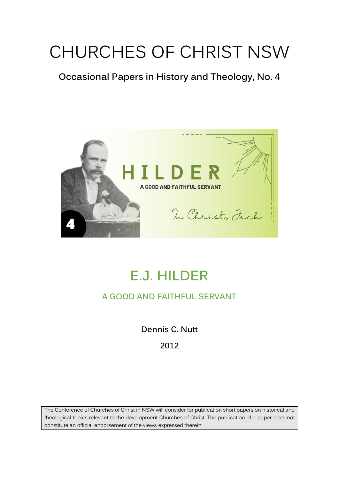# CHURCHES OF CHRIST NSW

**Occasional Papers in History and Theology, No. 4** 



# **E.J. HILDER**

### **A GOOD AND FAITHFUL SERVANT**

**Dennis C. Nutt**

**2012**

The Conference of Churches of Christ in NSW will consider for publication short papers on historical and theological topics relevant to the development Churches of Christ. The publication of a paper does not constitute an official endorsement of the views expressed therein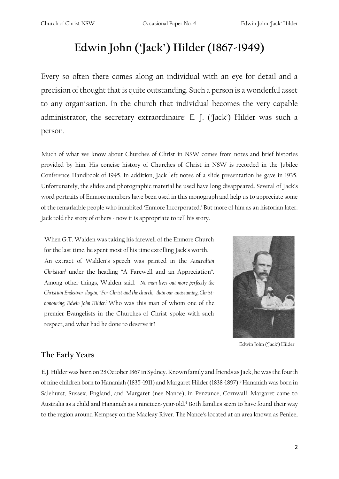## **Edwin John ('Jack') Hilder (1867-1949)**

Every so often there comes along an individual with an eye for detail and a precision of thought that is quite outstanding. Such a person is a wonderful asset to any organisation. In the church that individual becomes the very capable administrator, the secretary extraordinaire: E. J. ('Jack') Hilder was such a person.

Much of what we know about Churches of Christ in NSW comes from notes and brief histories provided by him. His concise history of Churches of Christ in NSW is recorded in the Jubilee Conference Handbook of 1945. In addition, Jack left notes of a slide presentation he gave in 1935. Unfortunately, the slides and photographic material he used have long disappeared. Several of Jack's word portraits of Enmore members have been used in this monograph and help us to appreciate some of the remarkable people who inhabited 'Enmore Incorporated.' But more of him as an historian later. Jack told the story of others - now it is appropriate to tell his story.

When G.T. Walden was taking his farewell of the Enmore Church for the last time, he spent most of his time extolling Jack's worth. An extract of Walden's speech was printed in the *Australian Christian*<sup>1</sup>under the heading "A Farewell and an Appreciation". Among other things, Walden said: *No man lives out more perfectly the Christian Endeavor slogan, "For Christ and the church," than our unassuming, Christhonouring, Edwin John Hilder.<sup>2</sup>*Who was this man of whom one of the premier Evangelists in the Churches of Christ spoke with such respect, and what had he done to deserve it?



Edwin John ('Jack') Hilder

#### **The Early Years**

E.J. Hilder was born on 28October 1867 in Sydney. Known family and friends as Jack, he was the fourth of nine children born to Hananiah (1835-1911) and Margaret Hilder (1838-1897).<sup>3</sup> Hananiah was born in Salehurst, Sussex, England, and Margaret (nee Nance), in Penzance, Cornwall. Margaret came to Australia as a child and Hananiah as a nineteen-year-old.<sup>4</sup> Both families seem to have found their way to the region around Kempsey on the Macleay River. The Nance's located at an area known as Penlee,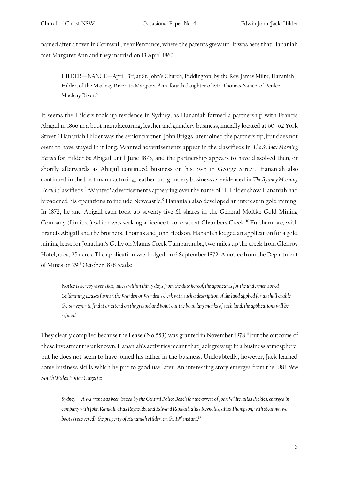named after a town in Cornwall, near Penzance, where the parents grew up. It was here that Hananiah met Margaret Ann and they married on 13 April 1860:

HILDER—NANCE—April 13<sup>th</sup>, at St. John's Church, Paddington, by the Rev. James Milne, Hananiah Hilder, of the Macleay River, to Margaret Ann, fourth daughter of Mr. Thomas Nance, of Penlee, Macleay River.<sup>5</sup>

It seems the Hilders took up residence in Sydney, as Hananiah formed a partnership with Francis Abigail in 1866 in a boot manufacturing, leather and grindery business, initially located at 60- 62 York Street.<sup>6</sup> Hananiah Hilder was the senior partner. John Briggs later joined the partnership, but does not seem to have stayed in it long. Wanted advertisements appear in the classifieds in *The Sydney Morning Herald* for Hilder & Abigail until June 1875, and the partnership appears to have dissolved then, or shortly afterwards as Abigail continued business on his own in George Street.<sup>7</sup> Hananiah also continued in the boot manufacturing, leather and grindery business as evidenced in *The Sydney Morning Herald* classifieds.<sup>8</sup>'Wanted' advertisements appearing over the name of H. Hilder show Hananiah had broadened his operations to include Newcastle.<sup>9</sup> Hananiah also developed an interest in gold mining. In 1872, he and Abigail each took up seventy-five £1 shares in the General Moltke Gold Mining Company (Limited) which was seeking a licence to operate at Chambers Creek.<sup>10</sup> Furthermore, with Francis Abigail and the brothers, Thomas and John Hodson, Hananiah lodged an application for a gold mining lease for Jonathan's Gully on Manus Creek Tumbarumba, two miles up the creek from Glenroy Hotel; area, 25 acres. The application was lodged on 6 September 1872. A notice from the Department of Mines on 29th October 1878 reads:

*Notice is hereby given that, unless within thirty days from the date hereof, the applicants for the undermentioned Goldmining Leases furnish the Warden or Warden's clerk with such a description of the land applied for as shall enable the Surveyor to find it or attend on the ground and point out the boundary marks of such land, the applications will be refused.* 

They clearly complied because the Lease (No.553) was granted in November 1878,<sup>11</sup> but the outcome of these investment is unknown. Hananiah's activities meant that Jack grew up in a business atmosphere, but he does not seem to have joined his father in the business. Undoubtedly, however, Jack learned some business skills which he put to good use later. An interesting story emerges from the 1881 *New South Wales Police Gazette*:

*Sydney—A warrant has been issued by the Central Police Bench for the arrest of John White, alias Pickles, charged in company with John Randall, alias Reynolds, and Edward Randall, alias Reynolds, alias Thompson, with stealing two boots (recovered), the property of Hananiah Hilder, on the 19th instant.12*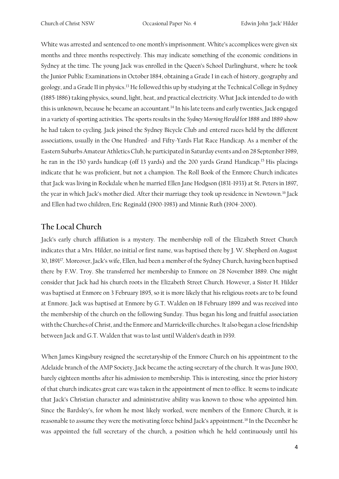White was arrested and sentenced to one month's imprisonment. White's accomplices were given six months and three months respectively. This may indicate something of the economic conditions in Sydney at the time. The young Jack was enrolled in the Queen's School Darlinghurst, where he took the Junior Public Examinations in October 1884, obtaining a Grade I in each of history, geography and geology, and a Grade II in physics.<sup>13</sup> He followed this up by studying at the Technical College in Sydney (1885-1886) taking physics, sound, light, heat, and practical electricity. What Jack intended to do with this is unknown, because he became an accountant.<sup>14</sup> In his late teens and early twenties, Jack engaged in a variety of sporting activities. The sports results in the *Sydney Morning Herald* for 1888 and 1889 show he had taken to cycling. Jack joined the Sydney Bicycle Club and entered races held by the different associations, usually in the One Hundred- and Fifty-Yards Flat Race Handicap. As a member of the Eastern Suburbs Amateur Athletics Club, he participated in Saturday events and on 28 September 1989, he ran in the 150 yards handicap (off 13 yards) and the 200 yards Grand Handicap.<sup>15</sup> His placings indicate that he was proficient, but not a champion. The Roll Book of the Enmore Church indicates that Jack was living in Rockdale when he married Ellen Jane Hodgson (1831-1933) at St. Peters in 1897, the year in which Jack's mother died. After their marriage they took up residence in Newtown.<sup>16</sup> Jack and Ellen had two children, Eric Reginald (1900-1983) and Minnie Ruth (1904-2000).

#### **The Local Church**

Jack's early church affiliation is a mystery. The membership roll of the Elizabeth Street Church indicates that a Mrs. Hilder, no initial or first name, was baptised there by J. W. Shepherd on August 30, 1891<sup>17</sup>. Moreover, Jack's wife, Ellen, had been a member of the Sydney Church, having been baptised there by F.W. Troy. She transferred her membership to Enmore on 28 November 1889. One might consider that Jack had his church roots in the Elizabeth Street Church. However, a Sister H. Hilder was baptised at Enmore on 3 February 1895, so it is more likely that his religious roots are to be found at Enmore. Jack was baptised at Enmore by G.T. Walden on 18 February 1899 and was received into the membership of the church on the following Sunday. Thus began his long and fruitful association with the Churches of Christ, and the Enmore and Marrickville churches. It also began a close friendship between Jack and G.T. Walden that was to last until Walden's death in 1939.

When James Kingsbury resigned the secretaryship of the Enmore Church on his appointment to the Adelaide branch of the AMP Society, Jack became the acting secretary of the church. It was June 1900, barely eighteen months after his admission to membership. This is interesting, since the prior history of that church indicates great care was taken in the appointment of men to office. It seems to indicate that Jack's Christian character and administrative ability was known to those who appointed him. Since the Bardsley's, for whom he most likely worked, were members of the Enmore Church, it is reasonable to assume they were the motivating force behind Jack's appointment.<sup>18</sup> In the December he was appointed the full secretary of the church, a position which he held continuously until his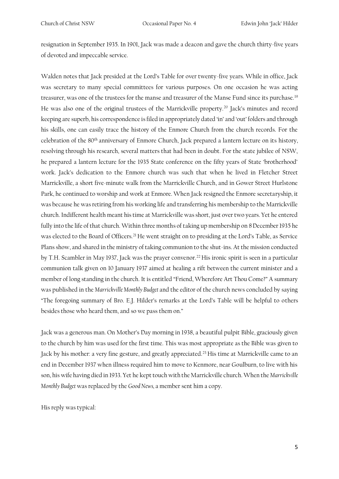resignation in September 1935. In 1901, Jack was made a deacon and gave the church thirty-five years of devoted and impeccable service.

Walden notes that Jack presided at the Lord's Table for over twenty-five years. While in office, Jack was secretary to many special committees for various purposes. On one occasion he was acting treasurer, was one of the trustees for the manse and treasurer of the Manse Fund since its purchase.<sup>19</sup> He was also one of the original trustees of the Marrickville property.<sup>20</sup> Jack's minutes and record keeping are superb, his correspondence is filed in appropriately dated 'in' and 'out' folders and through his skills, one can easily trace the history of the Enmore Church from the church records. For the celebration of the 80th anniversary of Enmore Church, Jack prepared a lantern lecture on its history, resolving through his research, several matters that had been in doubt. For the state jubilee of NSW, he prepared a lantern lecture for the 1935 State conference on the fifty years of State 'brotherhood' work. Jack's dedication to the Enmore church was such that when he lived in Fletcher Street Marrickville, a short five-minute walk from the Marrickville Church, and in Gower Street Hurlstone Park, he continued to worship and work at Enmore. When Jack resigned the Enmore secretaryship, it was because he was retiring from his working life and transferring his membership to the Marrickville church. Indifferent health meant his time at Marrickville was short, just over two years. Yet he entered fully into the life of that church. Within three months of taking up membership on 8December 1935 he was elected to the Board of Officers.<sup>21</sup> He went straight on to presiding at the Lord's Table, as Service Plans show, and shared in the ministry of taking communion to the shut-ins. At the mission conducted by T.H. Scambler in May 1937, Jack was the prayer convenor.<sup>22</sup> His ironic spirit is seen in a particular communion talk given on 10 January 1937 aimed at healing a rift between the current minister and a member of long standing in the church. It is entitled "Friend, Wherefore Art Thou Come?" A summary was published in the *Marrickville Monthly Budget* and the editor of the church news concluded by saying "The foregoing summary of Bro. E.J. Hilder's remarks at the Lord's Table will be helpful to others besides those who heard them, and so we pass them on."

Jack was a generous man. On Mother's Day morning in 1938, a beautiful pulpit Bible, graciously given to the church by him was used for the first time. This was most appropriate as the Bible was given to Jack by his mother: a very fine gesture, and greatly appreciated.<sup>23</sup> His time at Marrickville came to an end in December 1937 when illness required him to move to Kenmore, near Goulburn, to live with his son, his wife having died in 1933. Yet he kept touch with the Marrickville church. When the *Marrickville Monthly Budget* was replaced by the *Good News,* a member sent him a copy.

His reply was typical: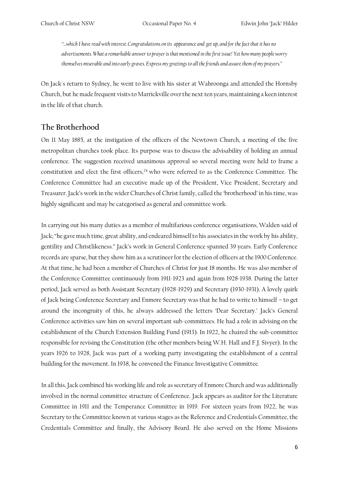*"...which I have read with interest. Congratulations on its appearance and get up, and for the fact that it has no advertisements. What a remarkable answer to prayer is that mentioned in the first issue! Yet how many people worry themselves miserable and into early graves. Express my greetings to all the friends and assure them of my prayers."*

On Jack's return to Sydney, he went to live with his sister at Wahroonga and attended the Hornsby Church, but he made frequent visits to Marrickville over the next ten years, maintaining a keen interest in the life of that church.

#### **The Brotherhood**

On 11 May 1885, at the instigation of the officers of the Newtown Church, a meeting of the five metropolitan churches took place. Its purpose was to discuss the advisability of holding an annual conference. The suggestion received unanimous approval so several meeting were held to frame a constitution and elect the first officers,<sup>24</sup> who were referred to as the Conference Committee. The Conference Committee had an executive made up of the President, Vice President, Secretary and Treasurer. Jack's work in the wider Churches of Christ family, called the 'brotherhood' in his time, was highly significant and may be categorised as general and committee work.

In carrying out his many duties as a member of multifarious conference organisations, Walden said of Jack; "he gave much time, great ability, and endeared himself to his associates in the work by his ability, gentility and Christlikeness." Jack's work in General Conference spanned 39 years. Early Conference records are sparse, but they show him as a scrutineer for the election of officers at the 1900 Conference. At that time, he had been a member of Churches of Christ for just 18 months. He was also member of the Conference Committee continuously from 1911-1923 and again from 1928-1938. During the latter period, Jack served as both Assistant Secretary (1928-1929) and Secretary (1930-1931). A lovely quirk of Jack being Conference Secretary and Enmore Secretary was that he had to write to himself – to get around the incongruity of this, he always addressed the letters 'Dear Secretary.' Jack's General Conference activities saw him on several important sub-committees. He had a role in advising on the establishment of the Church Extension Building Fund (1913). In 1922, he chaired the sub-committee responsible for revising the Constitution (the other members being W.H. Hall and F.J. Sivyer). In the years 1926 to 1928, Jack was part of a working party investigating the establishment of a central building for the movement. In 1938, he convened the Finance Investigative Committee.

In all this, Jack combined his working life and role as secretary of Enmore Church and was additionally involved in the normal committee structure of Conference. Jack appears as auditor for the Literature Committee in 1911 and the Temperance Committee in 1919. For sixteen years from 1922, he was Secretary to the Committee known at various stages as the Reference and Credentials Committee, the Credentials Committee and finally, the Advisory Board. He also served on the Home Missions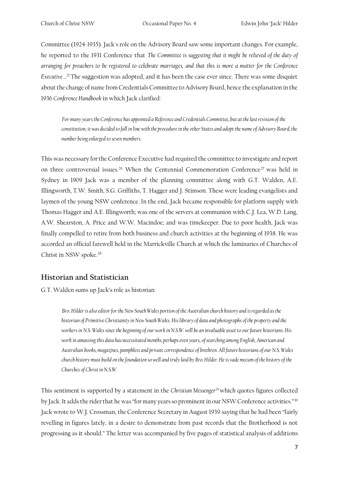Committee (1924-1935). Jack's role on the Advisory Board saw some important changes. For example, he reported to the 1931 Conference that *The Committee is suggesting that it might be relieved of the duty of arranging for preachers to be registered to celebrate marriages, and that this is more a matter for the Conference Executive ...<sup>25</sup>*The suggestion was adopted, and it has been the case ever since. There was some disquiet about the change of name from Credentials Committee to Advisory Board, hence the explanation in the 1936 *Conference Handbook* in which Jack clarified:

*For many years the Conference has appointed a Reference and Credentials Committee, but at the last revision of the constitution, it was decided to fall in line with the procedure in the other States and adopt the name of Advisory Board, the number being enlarged to seven members.* 

This was necessary for the Conference Executive had required the committee to investigate and report on three controversial issues.<sup>26</sup> When the Centennial Commemoration Conference<sup>27</sup> was held in Sydney in 1909 Jack was a member of the planning committee along with G.T. Walden, A.E. Illingworth, T.W. Smith, S.G. Griffiths, T. Hagger and J. Stimson. These were leading evangelists and laymen of the young NSW conference. In the end, Jack became responsible for platform supply with Thomas Hagger and A.E. Illingworth; was one of the servers at communion with C.J. Lea, W.D. Lang, A.W. Shearston, A. Price and W.W. Macindoe; and was timekeeper. Due to poor health, Jack was finally compelled to retire from both business and church activities at the beginning of 1938. He was accorded an official farewell held in the Marrickville Church at which the luminaries of Churches of Christ in NSW spoke.<sup>28</sup>

#### **Historian and Statistician**

G.T. Walden sums up Jack's role as historian:

*Bro. Hilder is also editor for the New South Wales portion of the Australian church history and is regarded as the historian of Primitive Christianity in New South Wales. His library of data and photographs of the property and the workers in N.S. Wales since the beginning of our work in N.S.W. will be an invaluable asset to our future historians. His work in amassing this data has necessitated months, perhaps even years, of searching among English, American and Australian books, magazines, pamphlets and private correspondence of brethren. All future historians of our N.S. Wales church history must build on the foundation so well and truly laid by Bro. Hilder. He is vade mecum of the history of the Churches of Christ in N.S.W.* 

This sentiment is supported by a statement in the *Christian Messenger<sup>29</sup>*which quotes figures collected by Jack. It adds the rider that he was "for many years so prominent in our NSW Conference activities."<sup>30</sup> Jack wrote to W.J. Crossman, the Conference Secretary in August 1939 saying that he had been "fairly revelling in figures lately, in a desire to demonstrate from past records that the Brotherhood is not progressing as it should." The letter was accompanied by five pages of statistical analysis of additions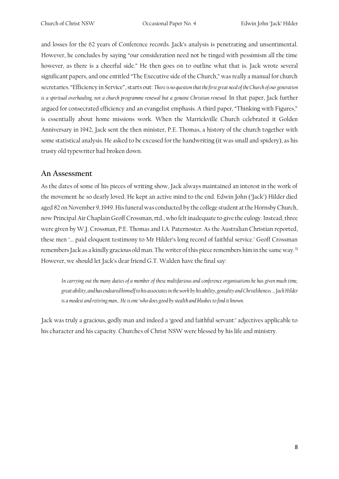and losses for the 62 years of Conference records. Jack's analysis is penetrating and unsentimental. However, he concludes by saying "our consideration need not be tinged with pessimism all the time however, as there is a cheerful side." He then goes on to outline what that is. Jack wrote several significant papers, and one entitled "The Executive side of the Church," was really a manual for church secretaries. "Efficiency in Service", starts out: *There is no question that the first great need of the Church of our generation*  is a spiritual overhauling, not a church programme renewal but a genuine Christian renewal. In that paper, Jack further argued for consecrated efficiency and an evangelist emphasis. A third paper, "Thinking with Figures," is essentially about home missions work. When the Marrickville Church celebrated it Golden Anniversary in 1942, Jack sent the then minister, P.E. Thomas, a history of the church together with some statistical analysis. He asked to be excused for the handwriting (it was small and spidery), as his trusty old typewriter had broken down.

#### **An Assessment**

As the dates of some of his pieces of writing show, Jack always maintained an interest in the work of the movement he so dearly loved. He kept an active mind to the end. Edwin John ('Jack') Hilder died aged 82 on November 9, 1949. His funeral was conducted by the college student at the Hornsby Church, now Principal Air Chaplain Geoff Crossman, rtd., who felt inadequate to give the eulogy. Instead, three were given by W.J. Crossman, P.E. Thomas and I.A. Paternoster. As the Australian Christian reported, these men '... paid eloquent testimony to Mr Hilder's long record of faithful service.' Geoff Crossman remembers Jack as a kindly gracious old man. The writer of this piece remembers him in the same way.<sup>31</sup> However, we should let Jack's dear friend G.T. Walden have the final say:

*In carrying out the many duties of a member of these multifarious and conference organisations he has given much time, great ability, and has endeared himself to his associates in the work by his ability, geniality and Christlikeness … Jack Hilder is a modest and retiring man... He is one 'who does good by stealth and blushes to find it known.*

Jack was truly a gracious, godly man and indeed a 'good and faithful servant:' adjectives applicable to his character and his capacity. Churches of Christ NSW were blessed by his life and ministry.